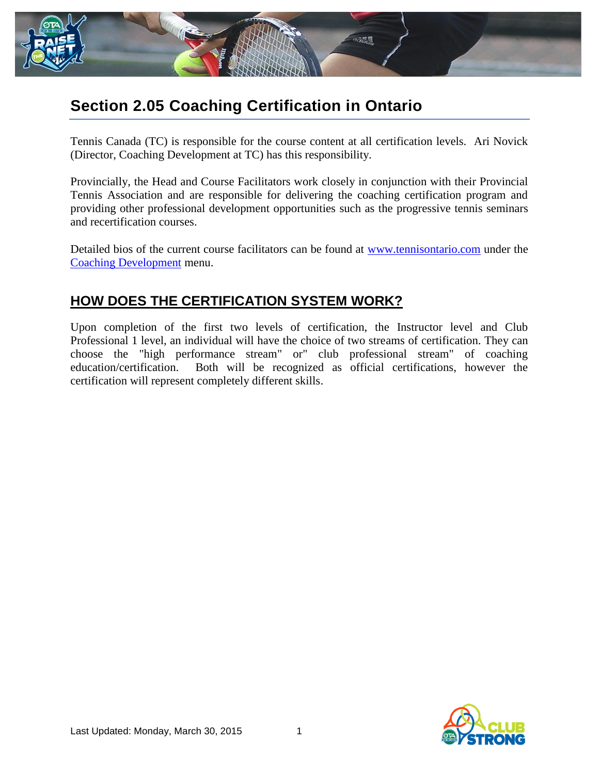

# **Section 2.05 Coaching Certification in Ontario**

Tennis Canada (TC) is responsible for the course content at all certification levels. Ari Novick (Director, Coaching Development at TC) has this responsibility.

Provincially, the Head and Course Facilitators work closely in conjunction with their Provincial Tennis Association and are responsible for delivering the coaching certification program and providing other professional development opportunities such as the progressive tennis seminars and recertification courses.

Detailed bios of the current course facilitators can be found at [www.tennisontario.com](www.tennisontario.com%20) under the [Coaching Development](http://tennisontario.com/Client/coursefacilitators.aspx) menu.

### **HOW DOES THE CERTIFICATION SYSTEM WORK?**

Upon completion of the first two levels of certification, the Instructor level and Club Professional 1 level, an individual will have the choice of two streams of certification. They can choose the "high performance stream" or" club professional stream" of coaching education/certification. Both will be recognized as official certifications, however the certification will represent completely different skills.

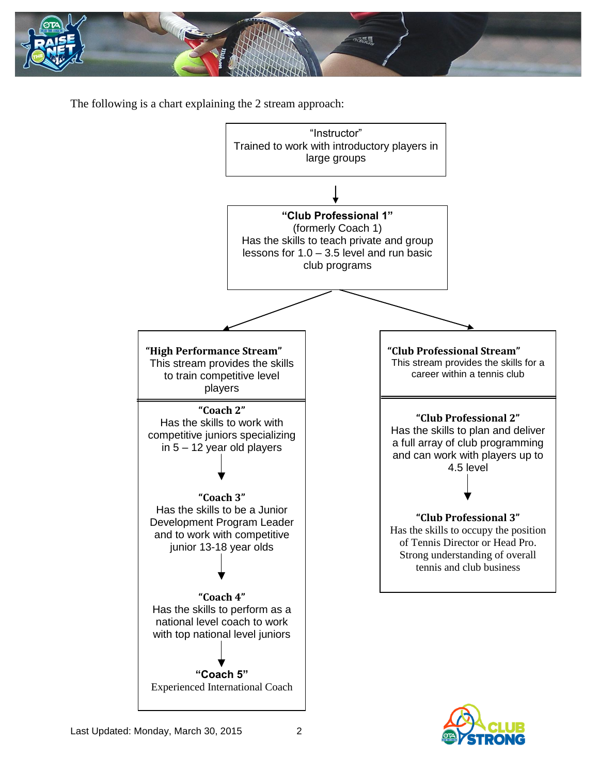

The following is a chart explaining the 2 stream approach:



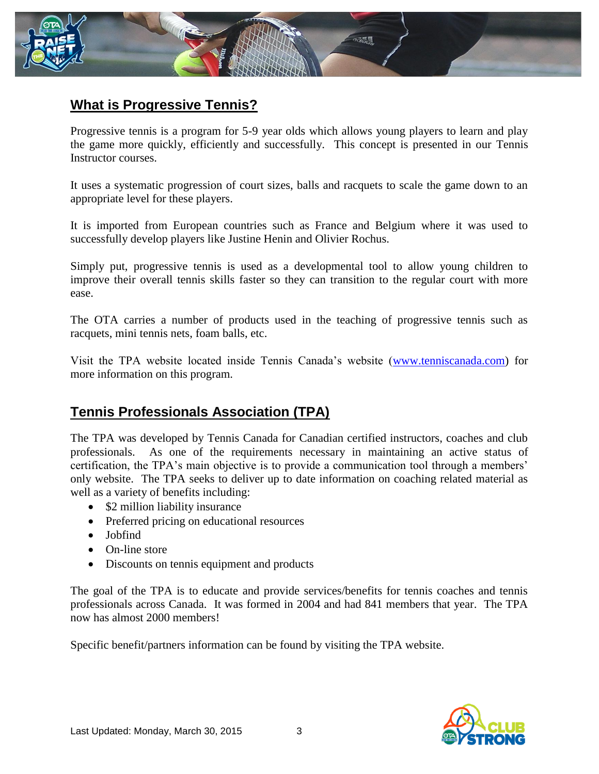

## **What is Progressive Tennis?**

Progressive tennis is a program for 5-9 year olds which allows young players to learn and play the game more quickly, efficiently and successfully. This concept is presented in our Tennis Instructor courses.

It uses a systematic progression of court sizes, balls and racquets to scale the game down to an appropriate level for these players.

It is imported from European countries such as France and Belgium where it was used to successfully develop players like Justine Henin and Olivier Rochus.

Simply put, progressive tennis is used as a developmental tool to allow young children to improve their overall tennis skills faster so they can transition to the regular court with more ease.

The OTA carries a number of products used in the teaching of progressive tennis such as racquets, mini tennis nets, foam balls, etc.

Visit the TPA website located inside Tennis Canada's website [\(www.tenniscanada.com\)](http://www.tenniscanada.com/) for more information on this program.

#### **Tennis Professionals Association (TPA)**

The TPA was developed by Tennis Canada for Canadian certified instructors, coaches and club professionals. As one of the requirements necessary in maintaining an active status of certification, the TPA's main objective is to provide a communication tool through a members' only website. The TPA seeks to deliver up to date information on coaching related material as well as a variety of benefits including:

- \$2 million liability insurance
- Preferred pricing on educational resources
- Jobfind
- On-line store
- Discounts on tennis equipment and products

The goal of the TPA is to educate and provide services/benefits for tennis coaches and tennis professionals across Canada. It was formed in 2004 and had 841 members that year. The TPA now has almost 2000 members!

Specific benefit/partners information can be found by visiting the TPA website.